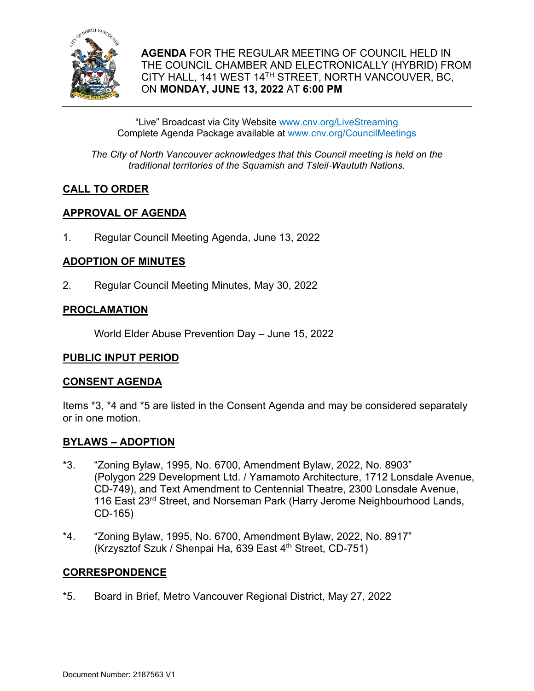

**AGENDA** FOR THE REGULAR MEETING OF COUNCIL HELD IN THE COUNCIL CHAMBER AND ELECTRONICALLY (HYBRID) FROM CITY HALL, 141 WEST 14TH STREET, NORTH VANCOUVER, BC, ON **MONDAY, JUNE 13, 2022** AT **6:00 PM**

"Live" Broadcast via City Website www.cnv.org/LiveStreaming Complete Agenda Package available at www.cnv.org/CouncilMeetings

*The City of North Vancouver acknowledges that this Council meeting is held on the traditional territories of the Squamish and Tsleil*-*Waututh Nations.* 

## **CALL TO ORDER**

## **APPROVAL OF AGENDA**

1. Regular Council Meeting Agenda, June 13, 2022

## **ADOPTION OF MINUTES**

2. Regular Council Meeting Minutes, May 30, 2022

## **PROCLAMATION**

World Elder Abuse Prevention Day – June 15, 2022

## **PUBLIC INPUT PERIOD**

## **CONSENT AGENDA**

Items \*3, \*4 and \*5 are listed in the Consent Agenda and may be considered separately or in one motion.

## **BYLAWS – ADOPTION**

- \*3. "Zoning Bylaw, 1995, No. 6700, Amendment Bylaw, 2022, No. 8903" (Polygon 229 Development Ltd. / Yamamoto Architecture, 1712 Lonsdale Avenue, CD-749), and Text Amendment to Centennial Theatre, 2300 Lonsdale Avenue, 116 East 23<sup>rd</sup> Street, and Norseman Park (Harry Jerome Neighbourhood Lands, CD-165)
- \*4. "Zoning Bylaw, 1995, No. 6700, Amendment Bylaw, 2022, No. 8917" (Krzysztof Szuk / Shenpai Ha, 639 East 4th Street, CD-751)

## **CORRESPONDENCE**

\*5. Board in Brief, Metro Vancouver Regional District, May 27, 2022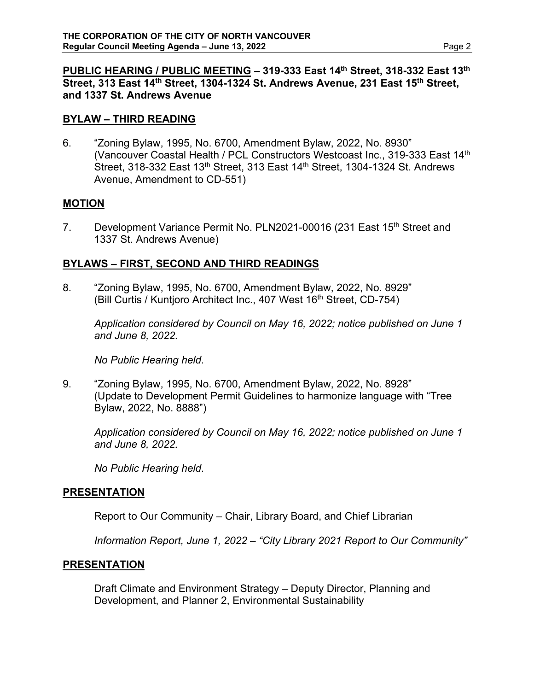### **PUBLIC HEARING / PUBLIC MEETING – 319-333 East 14th Street, 318-332 East 13th Street, 313 East 14th Street, 1304-1324 St. Andrews Avenue, 231 East 15th Street, and 1337 St. Andrews Avenue**

## **BYLAW – THIRD READING**

6. "Zoning Bylaw, 1995, No. 6700, Amendment Bylaw, 2022, No. 8930" (Vancouver Coastal Health / PCL Constructors Westcoast Inc., 319-333 East 14th Street, 318-332 East 13<sup>th</sup> Street, 313 East 14<sup>th</sup> Street, 1304-1324 St. Andrews Avenue, Amendment to CD-551)

### **MOTION**

7. Development Variance Permit No. PLN2021-00016 (231 East 15<sup>th</sup> Street and 1337 St. Andrews Avenue)

## **BYLAWS – FIRST, SECOND AND THIRD READINGS**

8. "Zoning Bylaw, 1995, No. 6700, Amendment Bylaw, 2022, No. 8929" (Bill Curtis / Kuntjoro Architect Inc., 407 West 16<sup>th</sup> Street, CD-754)

*Application considered by Council on May 16, 2022; notice published on June 1 and June 8, 2022.* 

*No Public Hearing held*.

9. "Zoning Bylaw, 1995, No. 6700, Amendment Bylaw, 2022, No. 8928" (Update to Development Permit Guidelines to harmonize language with "Tree Bylaw, 2022, No. 8888")

*Application considered by Council on May 16, 2022; notice published on June 1 and June 8, 2022.* 

*No Public Hearing held*.

### **PRESENTATION**

Report to Our Community – Chair, Library Board, and Chief Librarian

*Information Report, June 1, 2022 – "City Library 2021 Report to Our Community"* 

### **PRESENTATION**

Draft Climate and Environment Strategy – Deputy Director, Planning and Development, and Planner 2, Environmental Sustainability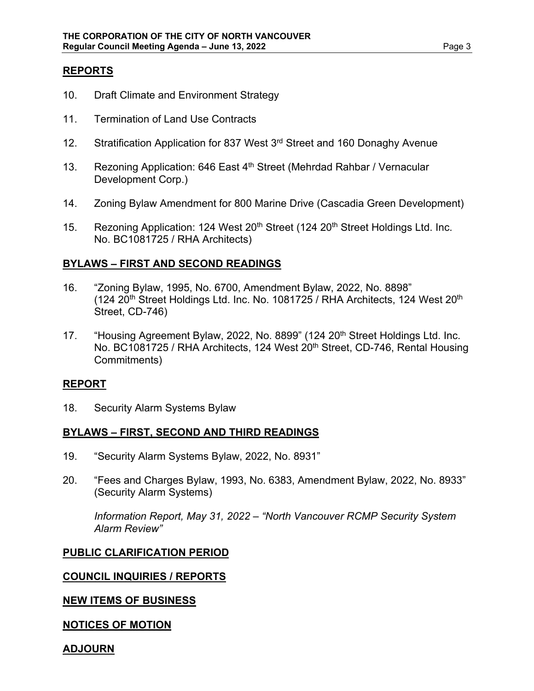## **REPORTS**

- 10. Draft Climate and Environment Strategy
- 11. Termination of Land Use Contracts
- 12. Stratification Application for 837 West 3<sup>rd</sup> Street and 160 Donaghy Avenue
- 13. Rezoning Application: 646 East 4<sup>th</sup> Street (Mehrdad Rahbar / Vernacular Development Corp.)
- 14. Zoning Bylaw Amendment for 800 Marine Drive (Cascadia Green Development)
- 15. Rezoning Application: 124 West 20<sup>th</sup> Street (124 20<sup>th</sup> Street Holdings Ltd. Inc. No. BC1081725 / RHA Architects)

### **BYLAWS – FIRST AND SECOND READINGS**

- 16. "Zoning Bylaw, 1995, No. 6700, Amendment Bylaw, 2022, No. 8898" (124 20<sup>th</sup> Street Holdings Ltd. Inc. No. 1081725 / RHA Architects, 124 West 20<sup>th</sup> Street, CD-746)
- 17. "Housing Agreement Bylaw, 2022, No. 8899" (124 20<sup>th</sup> Street Holdings Ltd. Inc. No. BC1081725 / RHA Architects, 124 West 20<sup>th</sup> Street, CD-746, Rental Housing Commitments)

### **REPORT**

18. Security Alarm Systems Bylaw

### **BYLAWS – FIRST, SECOND AND THIRD READINGS**

- 19. "Security Alarm Systems Bylaw, 2022, No. 8931"
- 20. "Fees and Charges Bylaw, 1993, No. 6383, Amendment Bylaw, 2022, No. 8933" (Security Alarm Systems)

*Information Report, May 31, 2022 – "North Vancouver RCMP Security System Alarm Review"* 

### **PUBLIC CLARIFICATION PERIOD**

### **COUNCIL INQUIRIES / REPORTS**

## **NEW ITEMS OF BUSINESS**

### **NOTICES OF MOTION**

#### **ADJOURN**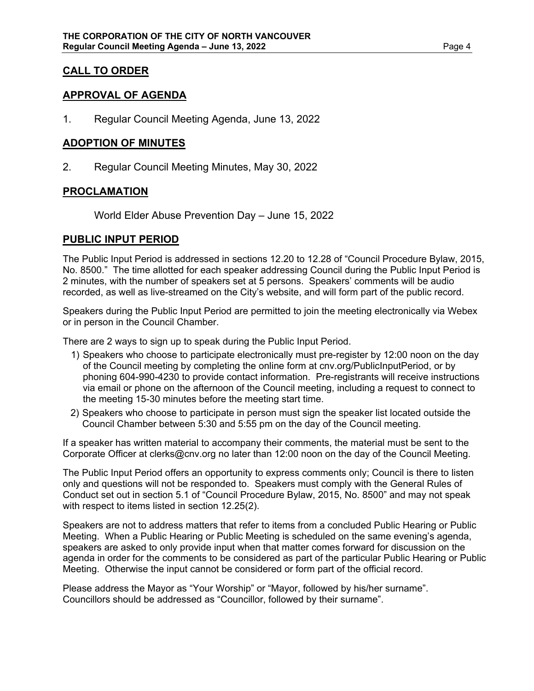## **CALL TO ORDER**

## **APPROVAL OF AGENDA**

1. Regular Council Meeting Agenda, June 13, 2022

### **ADOPTION OF MINUTES**

2. Regular Council Meeting Minutes, May 30, 2022

### **PROCLAMATION**

World Elder Abuse Prevention Day – June 15, 2022

### **PUBLIC INPUT PERIOD**

The Public Input Period is addressed in sections 12.20 to 12.28 of "Council Procedure Bylaw, 2015, No. 8500." The time allotted for each speaker addressing Council during the Public Input Period is 2 minutes, with the number of speakers set at 5 persons. Speakers' comments will be audio recorded, as well as live-streamed on the City's website, and will form part of the public record.

Speakers during the Public Input Period are permitted to join the meeting electronically via Webex or in person in the Council Chamber.

There are 2 ways to sign up to speak during the Public Input Period.

- 1) Speakers who choose to participate electronically must pre-register by 12:00 noon on the day of the Council meeting by completing the online form at cnv.org/PublicInputPeriod, or by phoning 604-990-4230 to provide contact information. Pre-registrants will receive instructions via email or phone on the afternoon of the Council meeting, including a request to connect to the meeting 15-30 minutes before the meeting start time.
- 2) Speakers who choose to participate in person must sign the speaker list located outside the Council Chamber between 5:30 and 5:55 pm on the day of the Council meeting.

If a speaker has written material to accompany their comments, the material must be sent to the Corporate Officer at clerks@cnv.org no later than 12:00 noon on the day of the Council Meeting.

The Public Input Period offers an opportunity to express comments only; Council is there to listen only and questions will not be responded to. Speakers must comply with the General Rules of Conduct set out in section 5.1 of "Council Procedure Bylaw, 2015, No. 8500" and may not speak with respect to items listed in section 12.25(2).

Speakers are not to address matters that refer to items from a concluded Public Hearing or Public Meeting. When a Public Hearing or Public Meeting is scheduled on the same evening's agenda, speakers are asked to only provide input when that matter comes forward for discussion on the agenda in order for the comments to be considered as part of the particular Public Hearing or Public Meeting. Otherwise the input cannot be considered or form part of the official record.

Please address the Mayor as "Your Worship" or "Mayor, followed by his/her surname". Councillors should be addressed as "Councillor, followed by their surname".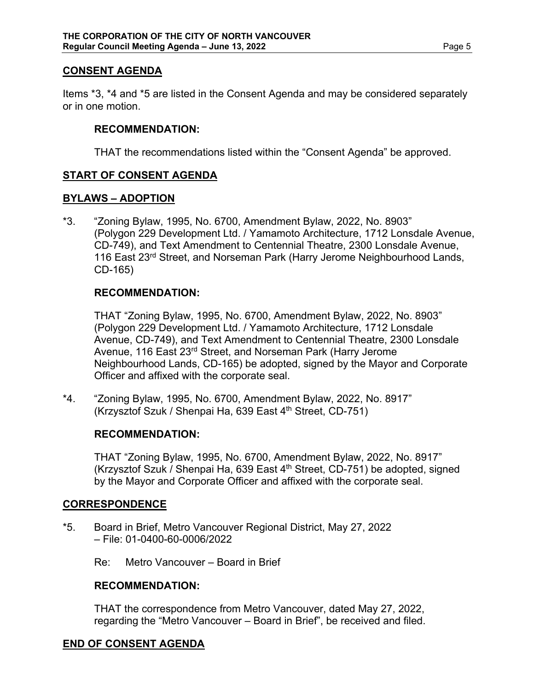## **CONSENT AGENDA**

Items \*3, \*4 and \*5 are listed in the Consent Agenda and may be considered separately or in one motion.

### **RECOMMENDATION:**

THAT the recommendations listed within the "Consent Agenda" be approved.

## **START OF CONSENT AGENDA**

### **BYLAWS – ADOPTION**

\*3. "Zoning Bylaw, 1995, No. 6700, Amendment Bylaw, 2022, No. 8903" (Polygon 229 Development Ltd. / Yamamoto Architecture, 1712 Lonsdale Avenue, CD-749), and Text Amendment to Centennial Theatre, 2300 Lonsdale Avenue, 116 East 23<sup>rd</sup> Street, and Norseman Park (Harry Jerome Neighbourhood Lands, CD-165)

### **RECOMMENDATION:**

THAT "Zoning Bylaw, 1995, No. 6700, Amendment Bylaw, 2022, No. 8903" (Polygon 229 Development Ltd. / Yamamoto Architecture, 1712 Lonsdale Avenue, CD-749), and Text Amendment to Centennial Theatre, 2300 Lonsdale Avenue, 116 East 23<sup>rd</sup> Street, and Norseman Park (Harry Jerome Neighbourhood Lands, CD-165) be adopted, signed by the Mayor and Corporate Officer and affixed with the corporate seal.

\*4. "Zoning Bylaw, 1995, No. 6700, Amendment Bylaw, 2022, No. 8917" (Krzysztof Szuk / Shenpai Ha, 639 East 4th Street, CD-751)

#### **RECOMMENDATION:**

THAT "Zoning Bylaw, 1995, No. 6700, Amendment Bylaw, 2022, No. 8917" (Krzysztof Szuk / Shenpai Ha, 639 East 4th Street, CD-751) be adopted, signed by the Mayor and Corporate Officer and affixed with the corporate seal.

### **CORRESPONDENCE**

\*5. Board in Brief, Metro Vancouver Regional District, May 27, 2022 – File: 01-0400-60-0006/2022

Re: Metro Vancouver – Board in Brief

### **RECOMMENDATION:**

THAT the correspondence from Metro Vancouver, dated May 27, 2022, regarding the "Metro Vancouver – Board in Brief", be received and filed.

## **END OF CONSENT AGENDA**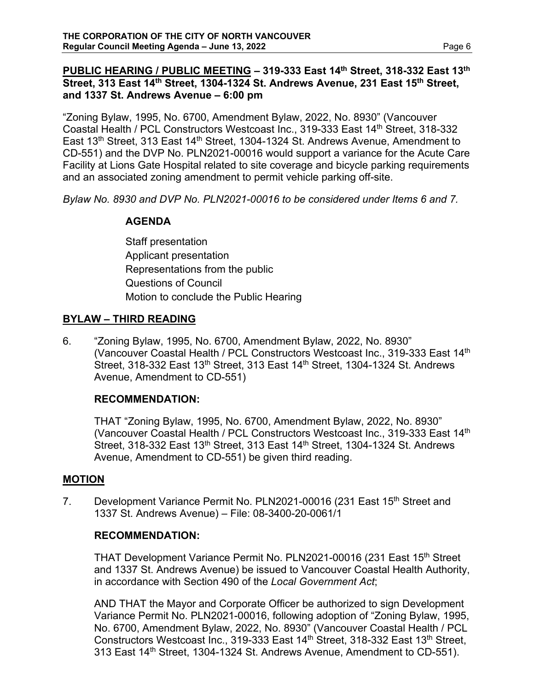## **PUBLIC HEARING / PUBLIC MEETING – 319-333 East 14th Street, 318-332 East 13th** Street, 313 East 14<sup>th</sup> Street, 1304-1324 St. Andrews Avenue, 231 East 15<sup>th</sup> Street, **and 1337 St. Andrews Avenue – 6:00 pm**

"Zoning Bylaw, 1995, No. 6700, Amendment Bylaw, 2022, No. 8930" (Vancouver Coastal Health / PCL Constructors Westcoast Inc., 319-333 East 14th Street, 318-332 East 13<sup>th</sup> Street, 313 East 14<sup>th</sup> Street, 1304-1324 St. Andrews Avenue, Amendment to CD-551) and the DVP No. PLN2021-00016 would support a variance for the Acute Care Facility at Lions Gate Hospital related to site coverage and bicycle parking requirements and an associated zoning amendment to permit vehicle parking off-site.

*Bylaw No. 8930 and DVP No. PLN2021-00016 to be considered under Items 6 and 7.* 

## **AGENDA**

Staff presentation Applicant presentation Representations from the public Questions of Council Motion to conclude the Public Hearing

## **BYLAW – THIRD READING**

6. "Zoning Bylaw, 1995, No. 6700, Amendment Bylaw, 2022, No. 8930" (Vancouver Coastal Health / PCL Constructors Westcoast Inc., 319-333 East 14th Street, 318-332 East 13<sup>th</sup> Street, 313 East 14<sup>th</sup> Street, 1304-1324 St. Andrews Avenue, Amendment to CD-551)

## **RECOMMENDATION:**

THAT "Zoning Bylaw, 1995, No. 6700, Amendment Bylaw, 2022, No. 8930" (Vancouver Coastal Health / PCL Constructors Westcoast Inc., 319-333 East 14th Street, 318-332 East 13<sup>th</sup> Street, 313 East 14<sup>th</sup> Street, 1304-1324 St. Andrews Avenue, Amendment to CD-551) be given third reading.

## **MOTION**

7. Development Variance Permit No. PLN2021-00016 (231 East 15<sup>th</sup> Street and 1337 St. Andrews Avenue) – File: 08-3400-20-0061/1

## **RECOMMENDATION:**

THAT Development Variance Permit No. PLN2021-00016 (231 East 15<sup>th</sup> Street and 1337 St. Andrews Avenue) be issued to Vancouver Coastal Health Authority, in accordance with Section 490 of the *Local Government Act*;

AND THAT the Mayor and Corporate Officer be authorized to sign Development Variance Permit No. PLN2021-00016, following adoption of "Zoning Bylaw, 1995, No. 6700, Amendment Bylaw, 2022, No. 8930" (Vancouver Coastal Health / PCL Constructors Westcoast Inc., 319-333 East 14th Street, 318-332 East 13th Street, 313 East 14<sup>th</sup> Street, 1304-1324 St. Andrews Avenue, Amendment to CD-551).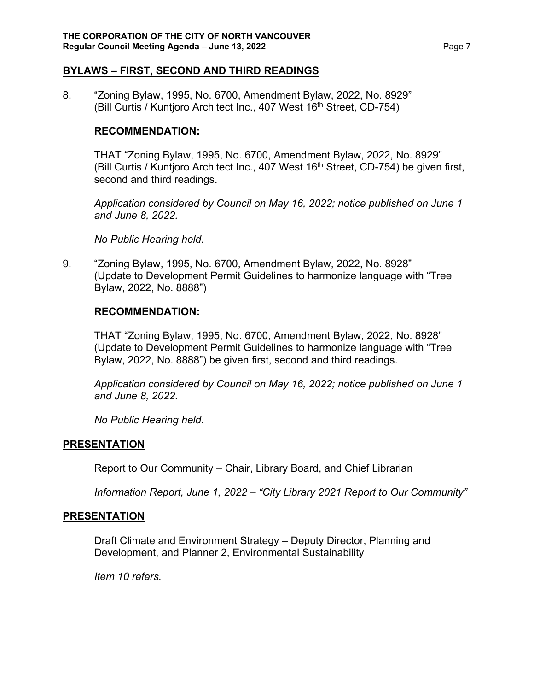### **BYLAWS – FIRST, SECOND AND THIRD READINGS**

8. "Zoning Bylaw, 1995, No. 6700, Amendment Bylaw, 2022, No. 8929" (Bill Curtis / Kuntjoro Architect Inc., 407 West 16<sup>th</sup> Street, CD-754)

### **RECOMMENDATION:**

THAT "Zoning Bylaw, 1995, No. 6700, Amendment Bylaw, 2022, No. 8929" (Bill Curtis / Kuntjoro Architect Inc., 407 West  $16<sup>th</sup>$  Street, CD-754) be given first, second and third readings.

*Application considered by Council on May 16, 2022; notice published on June 1 and June 8, 2022.* 

*No Public Hearing held*.

9. "Zoning Bylaw, 1995, No. 6700, Amendment Bylaw, 2022, No. 8928" (Update to Development Permit Guidelines to harmonize language with "Tree Bylaw, 2022, No. 8888")

### **RECOMMENDATION:**

THAT "Zoning Bylaw, 1995, No. 6700, Amendment Bylaw, 2022, No. 8928" (Update to Development Permit Guidelines to harmonize language with "Tree Bylaw, 2022, No. 8888") be given first, second and third readings.

*Application considered by Council on May 16, 2022; notice published on June 1 and June 8, 2022.* 

*No Public Hearing held*.

### **PRESENTATION**

Report to Our Community – Chair, Library Board, and Chief Librarian

*Information Report, June 1, 2022 – "City Library 2021 Report to Our Community"* 

### **PRESENTATION**

Draft Climate and Environment Strategy – Deputy Director, Planning and Development, and Planner 2, Environmental Sustainability

*Item 10 refers.*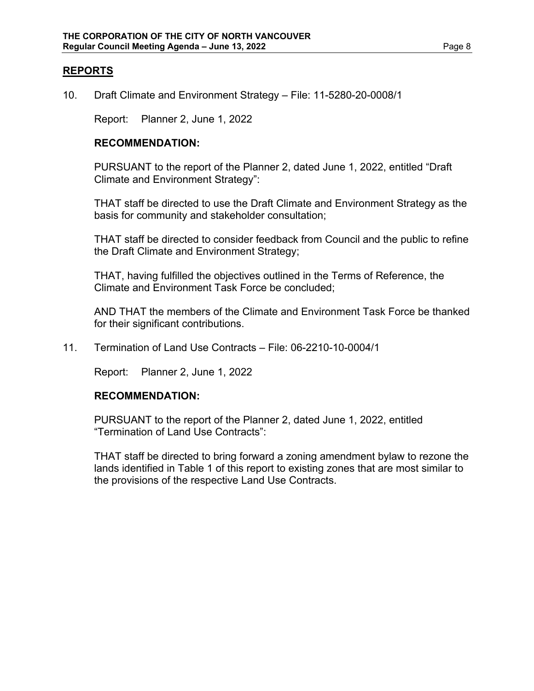## **REPORTS**

10. Draft Climate and Environment Strategy – File: 11-5280-20-0008/1

Report: Planner 2, June 1, 2022

#### **RECOMMENDATION:**

PURSUANT to the report of the Planner 2, dated June 1, 2022, entitled "Draft Climate and Environment Strategy":

THAT staff be directed to use the Draft Climate and Environment Strategy as the basis for community and stakeholder consultation;

THAT staff be directed to consider feedback from Council and the public to refine the Draft Climate and Environment Strategy;

THAT, having fulfilled the objectives outlined in the Terms of Reference, the Climate and Environment Task Force be concluded;

AND THAT the members of the Climate and Environment Task Force be thanked for their significant contributions.

11. Termination of Land Use Contracts – File: 06-2210-10-0004/1

Report: Planner 2, June 1, 2022

#### **RECOMMENDATION:**

PURSUANT to the report of the Planner 2, dated June 1, 2022, entitled "Termination of Land Use Contracts":

THAT staff be directed to bring forward a zoning amendment bylaw to rezone the lands identified in Table 1 of this report to existing zones that are most similar to the provisions of the respective Land Use Contracts.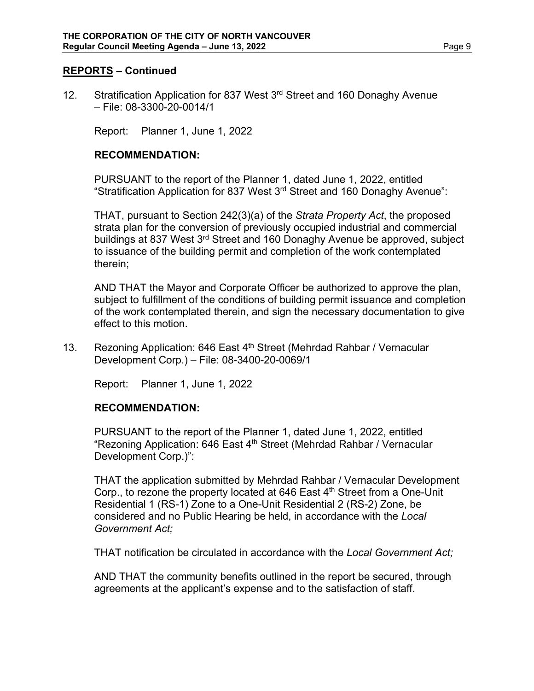### **REPORTS – Continued**

12. Stratification Application for 837 West 3<sup>rd</sup> Street and 160 Donaghy Avenue – File: 08-3300-20-0014/1

Report: Planner 1, June 1, 2022

### **RECOMMENDATION:**

PURSUANT to the report of the Planner 1, dated June 1, 2022, entitled "Stratification Application for 837 West 3<sup>rd</sup> Street and 160 Donaghy Avenue":

THAT, pursuant to Section 242(3)(a) of the *Strata Property Act*, the proposed strata plan for the conversion of previously occupied industrial and commercial buildings at 837 West 3<sup>rd</sup> Street and 160 Donaghy Avenue be approved, subject to issuance of the building permit and completion of the work contemplated therein;

AND THAT the Mayor and Corporate Officer be authorized to approve the plan, subject to fulfillment of the conditions of building permit issuance and completion of the work contemplated therein, and sign the necessary documentation to give effect to this motion.

13. Rezoning Application: 646 East 4<sup>th</sup> Street (Mehrdad Rahbar / Vernacular Development Corp.) – File: 08-3400-20-0069/1

Report: Planner 1, June 1, 2022

#### **RECOMMENDATION:**

PURSUANT to the report of the Planner 1, dated June 1, 2022, entitled "Rezoning Application: 646 East 4<sup>th</sup> Street (Mehrdad Rahbar / Vernacular Development Corp.)":

THAT the application submitted by Mehrdad Rahbar / Vernacular Development Corp., to rezone the property located at 646 East  $4<sup>th</sup>$  Street from a One-Unit Residential 1 (RS-1) Zone to a One-Unit Residential 2 (RS-2) Zone, be considered and no Public Hearing be held, in accordance with the *Local Government Act;*

THAT notification be circulated in accordance with the *Local Government Act;*

AND THAT the community benefits outlined in the report be secured, through agreements at the applicant's expense and to the satisfaction of staff.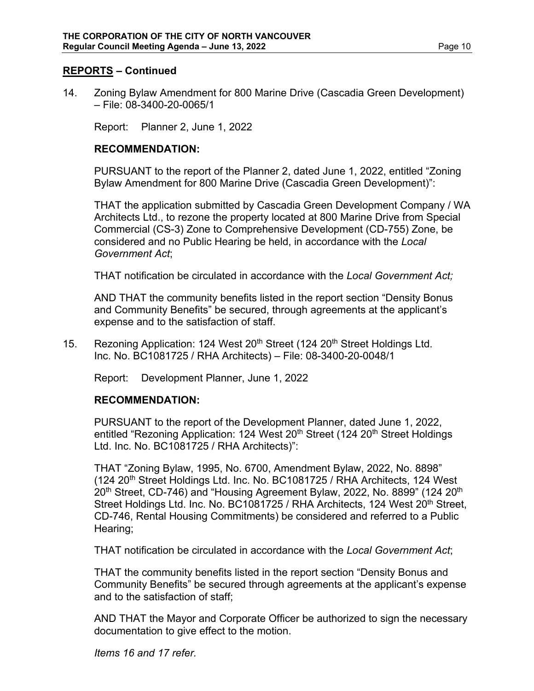### **REPORTS – Continued**

14. Zoning Bylaw Amendment for 800 Marine Drive (Cascadia Green Development) – File: 08-3400-20-0065/1

Report: Planner 2, June 1, 2022

#### **RECOMMENDATION:**

PURSUANT to the report of the Planner 2, dated June 1, 2022, entitled "Zoning Bylaw Amendment for 800 Marine Drive (Cascadia Green Development)":

THAT the application submitted by Cascadia Green Development Company / WA Architects Ltd., to rezone the property located at 800 Marine Drive from Special Commercial (CS-3) Zone to Comprehensive Development (CD-755) Zone, be considered and no Public Hearing be held, in accordance with the *Local Government Act*;

THAT notification be circulated in accordance with the *Local Government Act;*

AND THAT the community benefits listed in the report section "Density Bonus and Community Benefits" be secured, through agreements at the applicant's expense and to the satisfaction of staff.

15. Rezoning Application: 124 West  $20<sup>th</sup>$  Street (124  $20<sup>th</sup>$  Street Holdings Ltd. Inc. No. BC1081725 / RHA Architects) – File: 08-3400-20-0048/1

Report: Development Planner, June 1, 2022

#### **RECOMMENDATION:**

PURSUANT to the report of the Development Planner, dated June 1, 2022, entitled "Rezoning Application: 124 West 20<sup>th</sup> Street (124 20<sup>th</sup> Street Holdings Ltd. Inc. No. BC1081725 / RHA Architects)":

THAT "Zoning Bylaw, 1995, No. 6700, Amendment Bylaw, 2022, No. 8898" (124 20<sup>th</sup> Street Holdings Ltd. Inc. No. BC1081725 / RHA Architects, 124 West 20<sup>th</sup> Street, CD-746) and "Housing Agreement Bylaw, 2022, No. 8899" (124 20<sup>th</sup>) Street Holdings Ltd. Inc. No. BC1081725 / RHA Architects, 124 West 20<sup>th</sup> Street, CD-746, Rental Housing Commitments) be considered and referred to a Public Hearing;

THAT notification be circulated in accordance with the *Local Government Act*;

THAT the community benefits listed in the report section "Density Bonus and Community Benefits" be secured through agreements at the applicant's expense and to the satisfaction of staff;

AND THAT the Mayor and Corporate Officer be authorized to sign the necessary documentation to give effect to the motion.

*Items 16 and 17 refer.*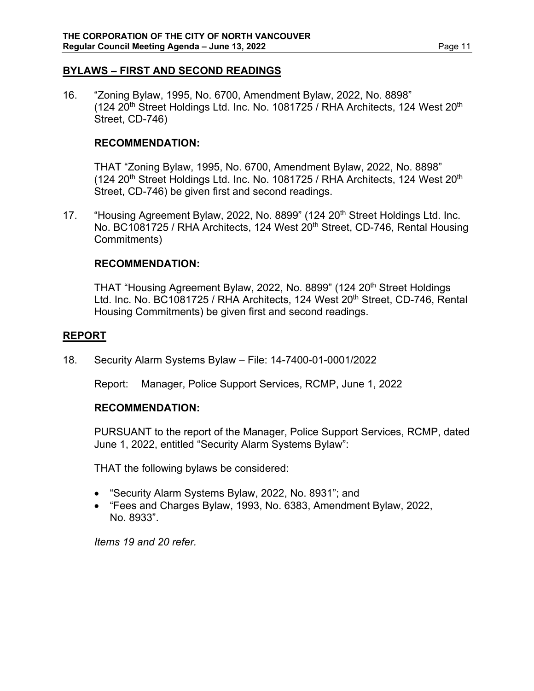### **BYLAWS – FIRST AND SECOND READINGS**

16. "Zoning Bylaw, 1995, No. 6700, Amendment Bylaw, 2022, No. 8898"  $(124 20<sup>th</sup>$  Street Holdings Ltd. Inc. No. 1081725 / RHA Architects, 124 West 20<sup>th</sup> Street, CD-746)

### **RECOMMENDATION:**

THAT "Zoning Bylaw, 1995, No. 6700, Amendment Bylaw, 2022, No. 8898" (124 20<sup>th</sup> Street Holdings Ltd. Inc. No. 1081725 / RHA Architects, 124 West 20<sup>th</sup> Street, CD-746) be given first and second readings.

17. "Housing Agreement Bylaw, 2022, No. 8899" (124 20<sup>th</sup> Street Holdings Ltd. Inc. No. BC1081725 / RHA Architects, 124 West 20<sup>th</sup> Street, CD-746, Rental Housing Commitments)

### **RECOMMENDATION:**

THAT "Housing Agreement Bylaw, 2022, No. 8899" (124 20<sup>th</sup> Street Holdings Ltd. Inc. No. BC1081725 / RHA Architects, 124 West 20<sup>th</sup> Street, CD-746, Rental Housing Commitments) be given first and second readings.

### **REPORT**

18. Security Alarm Systems Bylaw – File: 14-7400-01-0001/2022

Report: Manager, Police Support Services, RCMP, June 1, 2022

### **RECOMMENDATION:**

PURSUANT to the report of the Manager, Police Support Services, RCMP, dated June 1, 2022, entitled "Security Alarm Systems Bylaw":

THAT the following bylaws be considered:

- "Security Alarm Systems Bylaw, 2022, No. 8931"; and
- "Fees and Charges Bylaw, 1993, No. 6383, Amendment Bylaw, 2022, No. 8933".

*Items 19 and 20 refer.*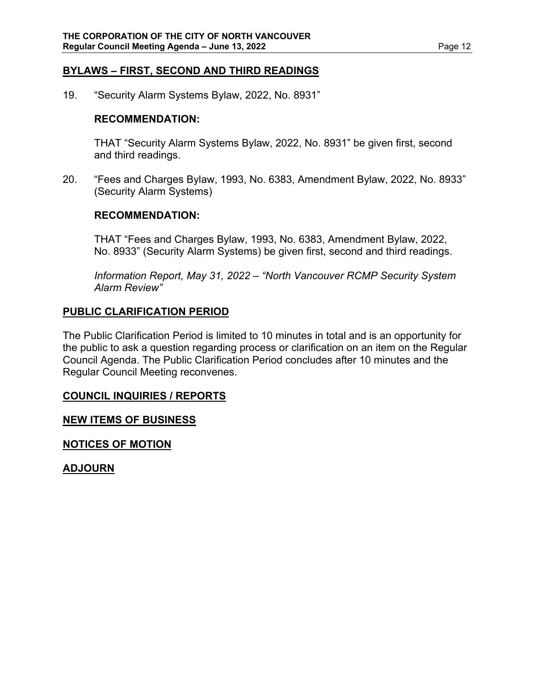### **BYLAWS – FIRST, SECOND AND THIRD READINGS**

19. "Security Alarm Systems Bylaw, 2022, No. 8931"

### **RECOMMENDATION:**

THAT "Security Alarm Systems Bylaw, 2022, No. 8931" be given first, second and third readings.

20. "Fees and Charges Bylaw, 1993, No. 6383, Amendment Bylaw, 2022, No. 8933" (Security Alarm Systems)

### **RECOMMENDATION:**

THAT "Fees and Charges Bylaw, 1993, No. 6383, Amendment Bylaw, 2022, No. 8933" (Security Alarm Systems) be given first, second and third readings.

*Information Report, May 31, 2022 – "North Vancouver RCMP Security System Alarm Review"* 

## **PUBLIC CLARIFICATION PERIOD**

The Public Clarification Period is limited to 10 minutes in total and is an opportunity for the public to ask a question regarding process or clarification on an item on the Regular Council Agenda. The Public Clarification Period concludes after 10 minutes and the Regular Council Meeting reconvenes.

### **COUNCIL INQUIRIES / REPORTS**

### **NEW ITEMS OF BUSINESS**

**NOTICES OF MOTION**

**ADJOURN**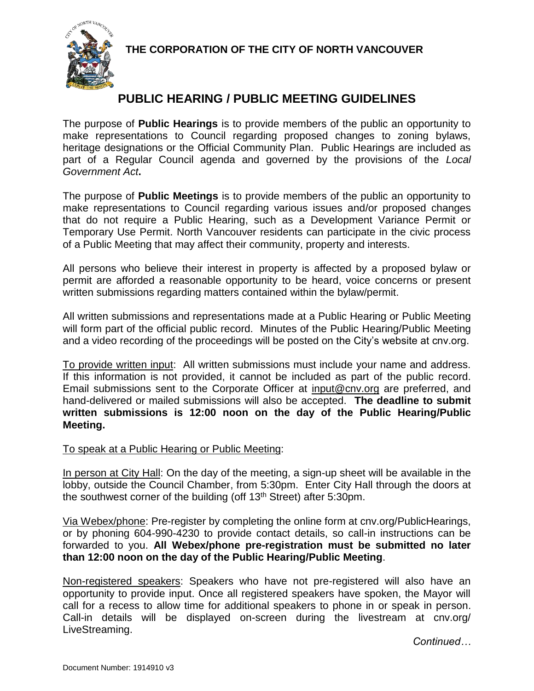**THE CORPORATION OF THE CITY OF NORTH VANCOUVER**



# **PUBLIC HEARING / PUBLIC MEETING GUIDELINES**

The purpose of **Public Hearings** is to provide members of the public an opportunity to make representations to Council regarding proposed changes to zoning bylaws, heritage designations or the Official Community Plan. Public Hearings are included as part of a Regular Council agenda and governed by the provisions of the *Local Government Act***.** 

The purpose of **Public Meetings** is to provide members of the public an opportunity to make representations to Council regarding various issues and/or proposed changes that do not require a Public Hearing, such as a Development Variance Permit or Temporary Use Permit. North Vancouver residents can participate in the civic process of a Public Meeting that may affect their community, property and interests.

All persons who believe their interest in property is affected by a proposed bylaw or permit are afforded a reasonable opportunity to be heard, voice concerns or present written submissions regarding matters contained within the bylaw/permit.

All written submissions and representations made at a Public Hearing or Public Meeting will form part of the official public record. Minutes of the Public Hearing/Public Meeting and a video recording of the proceedings will be posted on the City's website at cnv.org.

To provide written input: All written submissions must include your name and address. If this information is not provided, it cannot be included as part of the public record. Email submissions sent to the Corporate Officer at [input@cnv.org](mailto:input@cnv.org) are preferred, and hand-delivered or mailed submissions will also be accepted. **The deadline to submit written submissions is 12:00 noon on the day of the Public Hearing/Public Meeting.**

## To speak at a Public Hearing or Public Meeting:

In person at City Hall: On the day of the meeting, a sign-up sheet will be available in the lobby, outside the Council Chamber, from 5:30pm. Enter City Hall through the doors at the southwest corner of the building (off 13th Street) after 5:30pm.

Via Webex/phone: Pre-register by completing the online form at cnv.org/PublicHearings, or by phoning 604-990-4230 to provide contact details, so call-in instructions can be forwarded to you. **All Webex/phone pre-registration must be submitted no later than 12:00 noon on the day of the Public Hearing/Public Meeting**.

Non-registered speakers: Speakers who have not pre-registered will also have an opportunity to provide input. Once all registered speakers have spoken, the Mayor will call for a recess to allow time for additional speakers to phone in or speak in person. Call-in details will be displayed on-screen during the livestream at cnv.org/ LiveStreaming.

*Continued…*